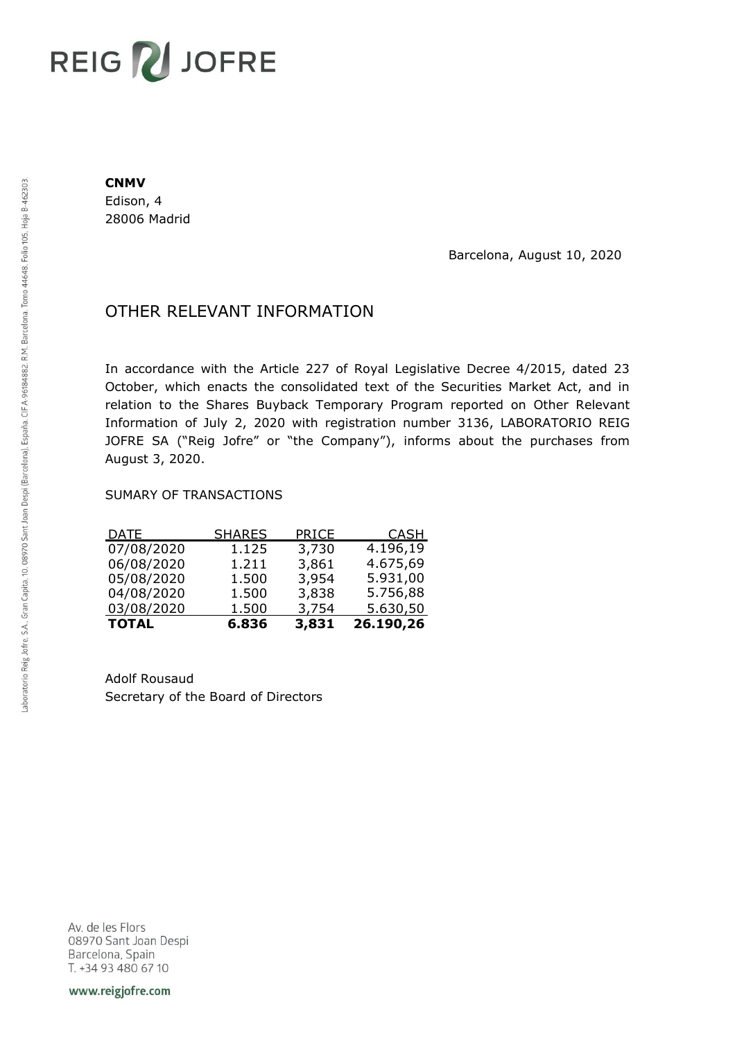# REIG V JOFRE

#### **CNMV**

Edison, 4 28006 Madrid

Barcelona, August 10, 2020

## OTHER RELEVANT INFORMATION

In accordance with the Article 227 of Royal Legislative Decree 4/2015, dated 23 October, which enacts the consolidated text of the Securities Market Act, and in relation to the Shares Buyback Temporary Program reported on Other Relevant Information of July 2, 2020 with registration number 3136, LABORATORIO REIG JOFRE SA ("Reig Jofre" or "the Company"), informs about the purchases from August 3, 2020.

### SUMARY OF TRANSACTIONS

| <b>TOTAL</b> | 6.836         | 3,831 | 26.190,26   |
|--------------|---------------|-------|-------------|
| 03/08/2020   | 1.500         | 3,754 | 5.630,50    |
| 04/08/2020   | 1.500         | 3,838 | 5.756,88    |
| 05/08/2020   | 1.500         | 3,954 | 5.931,00    |
| 06/08/2020   | 1.211         | 3,861 | 4.675,69    |
| 07/08/2020   | 1.125         | 3,730 | 4.196,19    |
| <u>DATE</u>  | <b>SHARES</b> | PRICE | <b>CASH</b> |

Adolf Rousaud Secretary of the Board of Directors

Av. de les Flors 08970 Sant Joan Despi Barcelona, Spain T. +34 93 480 67 10

www.reigjofre.com